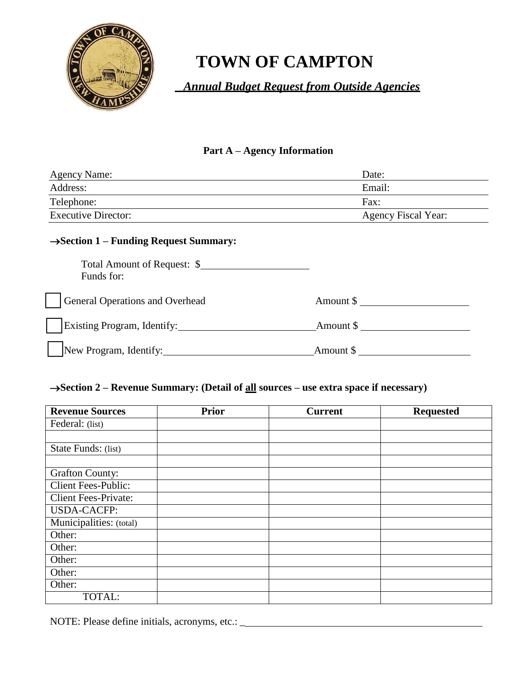

# **TOWN OF CAMPTON**

 *Annual Budget Request from Outside Agencies*

# **Part A – Agency Information**

| <b>Agency Name:</b>        | Date:                      |
|----------------------------|----------------------------|
| Address:                   | Email:                     |
| Telephone:                 | Fax:                       |
| <b>Executive Director:</b> | <b>Agency Fiscal Year:</b> |

# **Section 1 – Funding Request Summary:**

| Total Amount of Request: \$<br>Funds for: |                      |  |
|-------------------------------------------|----------------------|--|
| General Operations and Overhead           | Amount \$            |  |
| Existing Program, Identify:               | Amount $\frac{1}{2}$ |  |
| New Program, Identify:                    | Amount $\frac{1}{2}$ |  |

# **Section 2 – Revenue Summary: (Detail of all sources – use extra space if necessary)**

| <b>Revenue Sources</b>      | <b>Prior</b> | <b>Current</b> | <b>Requested</b> |
|-----------------------------|--------------|----------------|------------------|
| Federal: (list)             |              |                |                  |
|                             |              |                |                  |
| State Funds: (list)         |              |                |                  |
|                             |              |                |                  |
| <b>Grafton County:</b>      |              |                |                  |
| <b>Client Fees-Public:</b>  |              |                |                  |
| <b>Client Fees-Private:</b> |              |                |                  |
| <b>USDA-CACFP:</b>          |              |                |                  |
| Municipalities: (total)     |              |                |                  |
| Other:                      |              |                |                  |
| Other:                      |              |                |                  |
| Other:                      |              |                |                  |
| Other:                      |              |                |                  |
| Other:                      |              |                |                  |
| TOTAL:                      |              |                |                  |

NOTE: Please define initials, acronyms, etc.: \_\_\_\_\_\_\_\_\_\_\_\_\_\_\_\_\_\_\_\_\_\_\_\_\_\_\_\_\_\_\_\_\_\_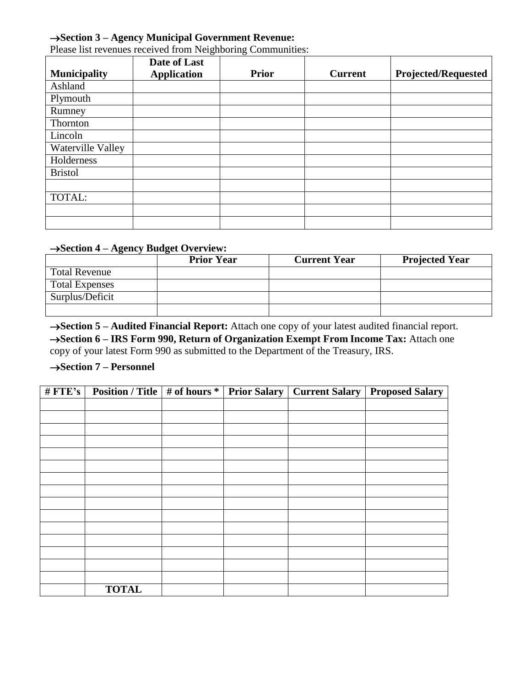## **Section 3 – Agency Municipal Government Revenue:**

| <b>Municipality</b> | Date of Last<br><b>Application</b> | <b>Prior</b> | <b>Current</b> | <b>Projected/Requested</b> |
|---------------------|------------------------------------|--------------|----------------|----------------------------|
| Ashland             |                                    |              |                |                            |
| Plymouth            |                                    |              |                |                            |
| Rumney              |                                    |              |                |                            |
| Thornton            |                                    |              |                |                            |
| Lincoln             |                                    |              |                |                            |
| Waterville Valley   |                                    |              |                |                            |
| Holderness          |                                    |              |                |                            |
| <b>Bristol</b>      |                                    |              |                |                            |
|                     |                                    |              |                |                            |
| TOTAL:              |                                    |              |                |                            |
|                     |                                    |              |                |                            |
|                     |                                    |              |                |                            |

Please list revenues received from Neighboring Communities:

# **Section 4 – Agency Budget Overview:**

|                       | <b>Prior Year</b> | <b>Current Year</b> | <b>Projected Year</b> |
|-----------------------|-------------------|---------------------|-----------------------|
| <b>Total Revenue</b>  |                   |                     |                       |
| <b>Total Expenses</b> |                   |                     |                       |
| Surplus/Deficit       |                   |                     |                       |
|                       |                   |                     |                       |

**Section 5 – Audited Financial Report:** Attach one copy of your latest audited financial report. **Section 6 – IRS Form 990, Return of Organization Exempt From Income Tax:** Attach one copy of your latest Form 990 as submitted to the Department of the Treasury, IRS.

## → **Section 7** – **Personnel**

| # $FTE's$ |              |  | <b>Position / Title   # of hours *   Prior Salary   Current Salary   Proposed Salary  </b> |
|-----------|--------------|--|--------------------------------------------------------------------------------------------|
|           |              |  |                                                                                            |
|           |              |  |                                                                                            |
|           |              |  |                                                                                            |
|           |              |  |                                                                                            |
|           |              |  |                                                                                            |
|           |              |  |                                                                                            |
|           |              |  |                                                                                            |
|           |              |  |                                                                                            |
|           |              |  |                                                                                            |
|           |              |  |                                                                                            |
|           |              |  |                                                                                            |
|           |              |  |                                                                                            |
|           |              |  |                                                                                            |
|           |              |  |                                                                                            |
|           |              |  |                                                                                            |
|           | <b>TOTAL</b> |  |                                                                                            |